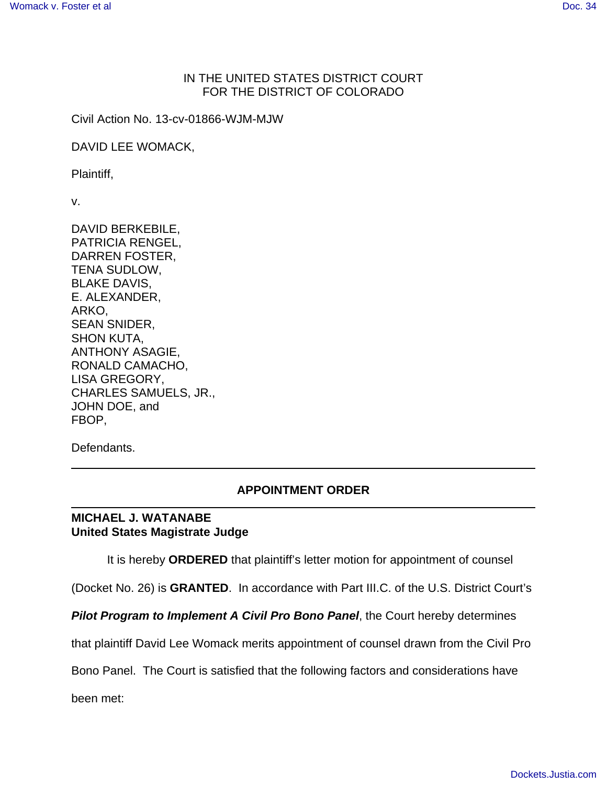## IN THE UNITED STATES DISTRICT COURT FOR THE DISTRICT OF COLORADO

Civil Action No. 13-cv-01866-WJM-MJW

DAVID LEE WOMACK,

Plaintiff,

v.

DAVID BERKEBILE, PATRICIA RENGEL, DARREN FOSTER, TENA SUDLOW, BLAKE DAVIS, E. ALEXANDER, ARKO, SEAN SNIDER, SHON KUTA, ANTHONY ASAGIE, RONALD CAMACHO, LISA GREGORY, CHARLES SAMUELS, JR., JOHN DOE, and FBOP,

Defendants.

l

## **APPOINTMENT ORDER**

## **MICHAEL J. WATANABE United States Magistrate Judge**

It is hereby **ORDERED** that plaintiff's letter motion for appointment of counsel

(Docket No. 26) is **GRANTED**. In accordance with Part III.C. of the U.S. District Court's

**Pilot Program to Implement A Civil Pro Bono Panel**, the Court hereby determines

that plaintiff David Lee Womack merits appointment of counsel drawn from the Civil Pro

Bono Panel. The Court is satisfied that the following factors and considerations have

been met: